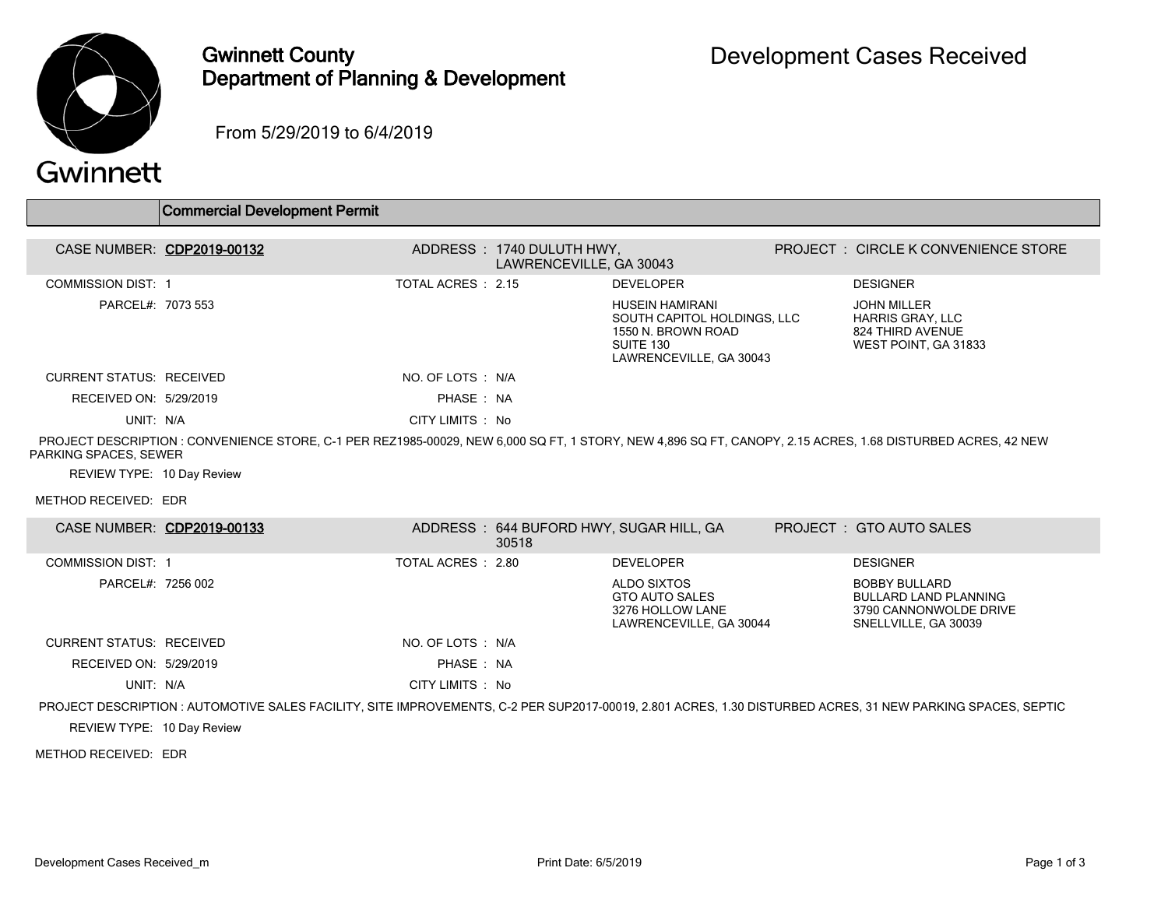

## Gwinnett County Department of Planning & Development

From 5/29/2019 to 6/4/2019

## Gwinnett

|                                 | Commercial Development Permit                                                                                                                               |                    |                           |                                                                                                                     |                                                                                                        |
|---------------------------------|-------------------------------------------------------------------------------------------------------------------------------------------------------------|--------------------|---------------------------|---------------------------------------------------------------------------------------------------------------------|--------------------------------------------------------------------------------------------------------|
| CASE NUMBER: CDP2019-00132      |                                                                                                                                                             |                    | ADDRESS: 1740 DULUTH HWY, |                                                                                                                     | <b>PROJECT : CIRCLE K CONVENIENCE STORE</b>                                                            |
|                                 |                                                                                                                                                             |                    | LAWRENCEVILLE, GA 30043   |                                                                                                                     |                                                                                                        |
| <b>COMMISSION DIST: 1</b>       |                                                                                                                                                             | TOTAL ACRES: 2.15  |                           | <b>DEVELOPER</b>                                                                                                    | <b>DESIGNER</b>                                                                                        |
| PARCEL#: 7073 553               |                                                                                                                                                             |                    |                           | <b>HUSEIN HAMIRANI</b><br>SOUTH CAPITOL HOLDINGS, LLC<br>1550 N. BROWN ROAD<br>SUITE 130<br>LAWRENCEVILLE, GA 30043 | <b>JOHN MILLER</b><br><b>HARRIS GRAY, LLC</b><br>824 THIRD AVENUE<br>WEST POINT, GA 31833              |
| <b>CURRENT STATUS: RECEIVED</b> |                                                                                                                                                             | NO. OF LOTS: N/A   |                           |                                                                                                                     |                                                                                                        |
| RECEIVED ON: 5/29/2019          |                                                                                                                                                             | PHASE: NA          |                           |                                                                                                                     |                                                                                                        |
| UNIT: N/A                       |                                                                                                                                                             | CITY LIMITS : No   |                           |                                                                                                                     |                                                                                                        |
| PARKING SPACES, SEWER           | PROJECT DESCRIPTION: CONVENIENCE STORE, C-1 PER REZ1985-00029, NEW 6,000 SQ FT, 1 STORY, NEW 4,896 SQ FT, CANOPY, 2.15 ACRES, 1.68 DISTURBED ACRES, 42 NEW  |                    |                           |                                                                                                                     |                                                                                                        |
| REVIEW TYPE: 10 Day Review      |                                                                                                                                                             |                    |                           |                                                                                                                     |                                                                                                        |
| METHOD RECEIVED: EDR            |                                                                                                                                                             |                    |                           |                                                                                                                     |                                                                                                        |
| CASE NUMBER: CDP2019-00133      |                                                                                                                                                             |                    | 30518                     | ADDRESS: 644 BUFORD HWY, SUGAR HILL, GA                                                                             | PROJECT: GTO AUTO SALES                                                                                |
| <b>COMMISSION DIST: 1</b>       |                                                                                                                                                             | TOTAL ACRES : 2.80 |                           | <b>DEVELOPER</b>                                                                                                    | <b>DESIGNER</b>                                                                                        |
| PARCEL#: 7256 002               |                                                                                                                                                             |                    |                           | <b>ALDO SIXTOS</b><br><b>GTO AUTO SALES</b><br>3276 HOLLOW LANE<br>LAWRENCEVILLE, GA 30044                          | <b>BOBBY BULLARD</b><br><b>BULLARD LAND PLANNING</b><br>3790 CANNONWOLDE DRIVE<br>SNELLVILLE, GA 30039 |
| <b>CURRENT STATUS: RECEIVED</b> |                                                                                                                                                             | NO. OF LOTS : N/A  |                           |                                                                                                                     |                                                                                                        |
| RECEIVED ON: 5/29/2019          |                                                                                                                                                             | PHASE: NA          |                           |                                                                                                                     |                                                                                                        |
| UNIT: N/A                       |                                                                                                                                                             | CITY LIMITS : No   |                           |                                                                                                                     |                                                                                                        |
|                                 | PROJECT DESCRIPTION : AUTOMOTIVE SALES FACILITY, SITE IMPROVEMENTS, C-2 PER SUP2017-00019, 2.801 ACRES, 1.30 DISTURBED ACRES, 31 NEW PARKING SPACES, SEPTIC |                    |                           |                                                                                                                     |                                                                                                        |
| REVIEW TYPE: 10 Day Review      |                                                                                                                                                             |                    |                           |                                                                                                                     |                                                                                                        |

METHOD RECEIVED: EDR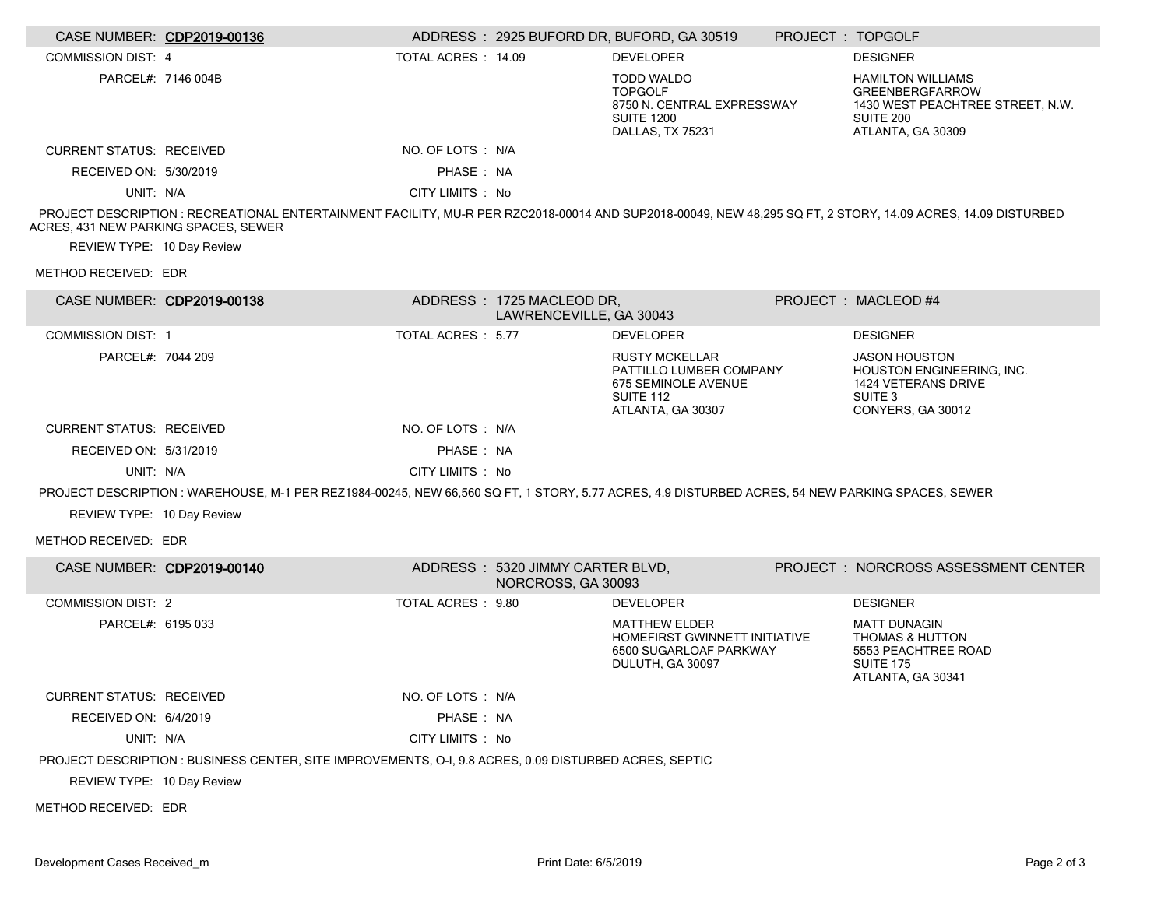| CASE NUMBER: CDP2019-00136                                         |                                                                                                                                                              |                    |                                                        | ADDRESS: 2925 BUFORD DR, BUFORD, GA 30519                                                                        | PROJECT : TOPGOLF |                                                                                                                          |
|--------------------------------------------------------------------|--------------------------------------------------------------------------------------------------------------------------------------------------------------|--------------------|--------------------------------------------------------|------------------------------------------------------------------------------------------------------------------|-------------------|--------------------------------------------------------------------------------------------------------------------------|
| <b>COMMISSION DIST: 4</b>                                          |                                                                                                                                                              | TOTAL ACRES: 14.09 |                                                        | <b>DEVELOPER</b>                                                                                                 |                   | <b>DESIGNER</b>                                                                                                          |
|                                                                    | PARCEL#: 7146 004B                                                                                                                                           |                    |                                                        | <b>TODD WALDO</b><br><b>TOPGOLF</b><br>8750 N. CENTRAL EXPRESSWAY<br><b>SUITE 1200</b><br>DALLAS, TX 75231       |                   | <b>HAMILTON WILLIAMS</b><br><b>GREENBERGFARROW</b><br>1430 WEST PEACHTREE STREET, N.W.<br>SUITE 200<br>ATLANTA, GA 30309 |
| <b>CURRENT STATUS: RECEIVED</b>                                    |                                                                                                                                                              | NO. OF LOTS : N/A  |                                                        |                                                                                                                  |                   |                                                                                                                          |
| RECEIVED ON: 5/30/2019                                             |                                                                                                                                                              | PHASE: NA          |                                                        |                                                                                                                  |                   |                                                                                                                          |
| UNIT: N/A                                                          |                                                                                                                                                              | CITY LIMITS : No   |                                                        |                                                                                                                  |                   |                                                                                                                          |
| ACRES, 431 NEW PARKING SPACES, SEWER<br>REVIEW TYPE: 10 Day Review | PROJECT DESCRIPTION : RECREATIONAL ENTERTAINMENT FACILITY, MU-R PER RZC2018-00014 AND SUP2018-00049, NEW 48,295 SQ FT, 2 STORY, 14.09 ACRES, 14.09 DISTURBED |                    |                                                        |                                                                                                                  |                   |                                                                                                                          |
| METHOD RECEIVED: EDR                                               |                                                                                                                                                              |                    |                                                        |                                                                                                                  |                   |                                                                                                                          |
| CASE NUMBER: CDP2019-00138                                         |                                                                                                                                                              |                    | ADDRESS: 1725 MACLEOD DR,<br>LAWRENCEVILLE, GA 30043   |                                                                                                                  |                   | PROJECT : MACLEOD #4                                                                                                     |
| <b>COMMISSION DIST: 1</b>                                          |                                                                                                                                                              | TOTAL ACRES : 5.77 |                                                        | <b>DEVELOPER</b>                                                                                                 |                   | <b>DESIGNER</b>                                                                                                          |
| PARCEL#: 7044 209                                                  |                                                                                                                                                              |                    |                                                        | <b>RUSTY MCKELLAR</b><br>PATTILLO LUMBER COMPANY<br>675 SEMINOLE AVENUE<br><b>SUITE 112</b><br>ATLANTA, GA 30307 |                   | <b>JASON HOUSTON</b><br><b>HOUSTON ENGINEERING. INC.</b><br>1424 VETERANS DRIVE<br>SUITE 3<br>CONYERS, GA 30012          |
| <b>CURRENT STATUS: RECEIVED</b>                                    |                                                                                                                                                              | NO. OF LOTS: N/A   |                                                        |                                                                                                                  |                   |                                                                                                                          |
| RECEIVED ON: 5/31/2019                                             |                                                                                                                                                              | PHASE: NA          |                                                        |                                                                                                                  |                   |                                                                                                                          |
| UNIT: N/A                                                          |                                                                                                                                                              | CITY LIMITS : No   |                                                        |                                                                                                                  |                   |                                                                                                                          |
|                                                                    | PROJECT DESCRIPTION: WAREHOUSE, M-1 PER REZ1984-00245, NEW 66,560 SQ FT, 1 STORY, 5.77 ACRES, 4.9 DISTURBED ACRES, 54 NEW PARKING SPACES, SEWER              |                    |                                                        |                                                                                                                  |                   |                                                                                                                          |
| REVIEW TYPE: 10 Day Review                                         |                                                                                                                                                              |                    |                                                        |                                                                                                                  |                   |                                                                                                                          |
| METHOD RECEIVED: EDR                                               |                                                                                                                                                              |                    |                                                        |                                                                                                                  |                   |                                                                                                                          |
| CASE NUMBER: CDP2019-00140                                         |                                                                                                                                                              |                    | ADDRESS: 5320 JIMMY CARTER BLVD,<br>NORCROSS, GA 30093 |                                                                                                                  |                   | PROJECT : NORCROSS ASSESSMENT CENTER                                                                                     |
| <b>COMMISSION DIST: 2</b>                                          |                                                                                                                                                              | TOTAL ACRES : 9.80 |                                                        | <b>DEVELOPER</b>                                                                                                 |                   | <b>DESIGNER</b>                                                                                                          |
| PARCEL#: 6195 033                                                  |                                                                                                                                                              |                    |                                                        | <b>MATTHEW ELDER</b><br>HOMEFIRST GWINNETT INITIATIVE<br>6500 SUGARLOAF PARKWAY<br>DULUTH, GA 30097              |                   | <b>MATT DUNAGIN</b><br><b>THOMAS &amp; HUTTON</b><br>5553 PEACHTREE ROAD<br><b>SUITE 175</b><br>ATLANTA, GA 30341        |
| <b>CURRENT STATUS: RECEIVED</b>                                    |                                                                                                                                                              | NO. OF LOTS : N/A  |                                                        |                                                                                                                  |                   |                                                                                                                          |
| RECEIVED ON: 6/4/2019                                              |                                                                                                                                                              | PHASE : NA         |                                                        |                                                                                                                  |                   |                                                                                                                          |
| UNIT: N/A                                                          |                                                                                                                                                              | CITY LIMITS : No   |                                                        |                                                                                                                  |                   |                                                                                                                          |
|                                                                    | PROJECT DESCRIPTION : BUSINESS CENTER, SITE IMPROVEMENTS, O-I, 9.8 ACRES, 0.09 DISTURBED ACRES, SEPTIC                                                       |                    |                                                        |                                                                                                                  |                   |                                                                                                                          |
| REVIEW TYPE: 10 Day Review                                         |                                                                                                                                                              |                    |                                                        |                                                                                                                  |                   |                                                                                                                          |
| METHOD RECEIVED: EDR                                               |                                                                                                                                                              |                    |                                                        |                                                                                                                  |                   |                                                                                                                          |
|                                                                    |                                                                                                                                                              |                    |                                                        |                                                                                                                  |                   |                                                                                                                          |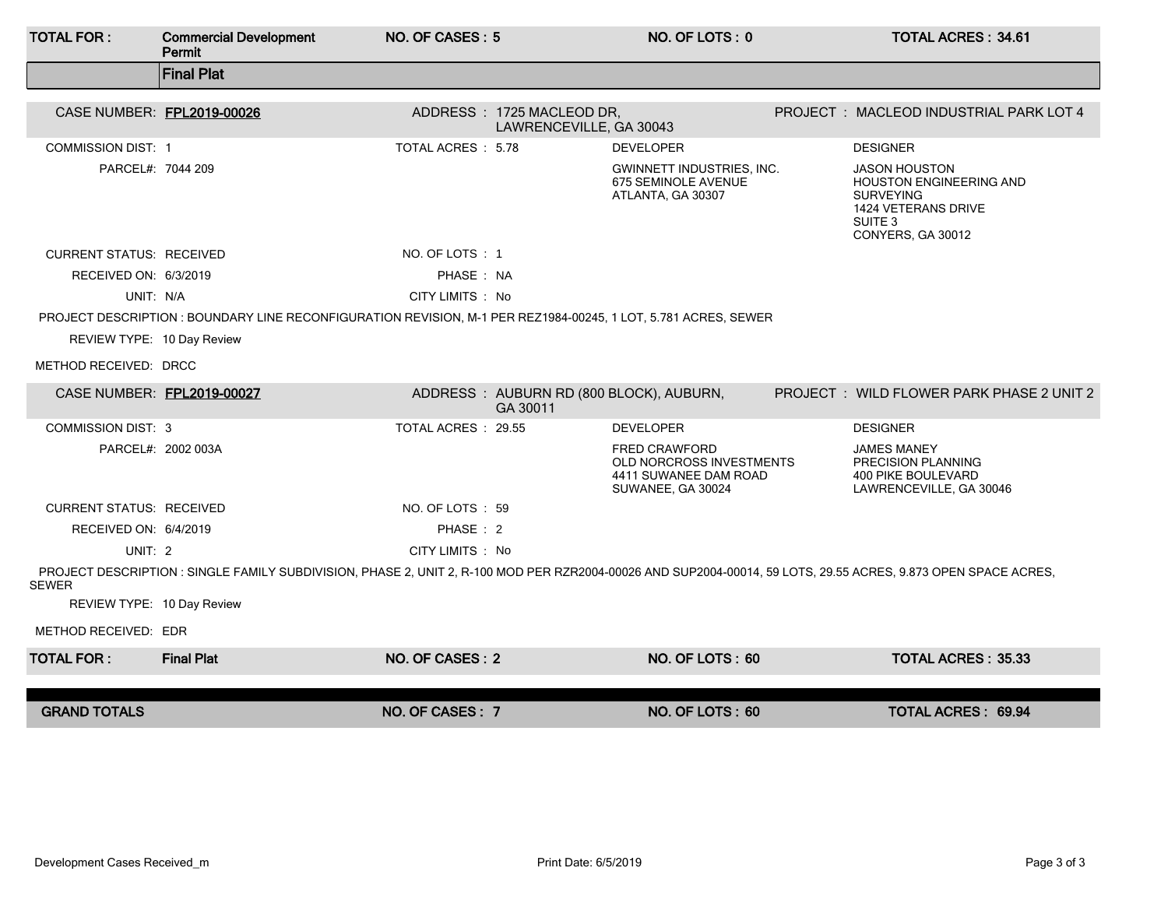| <b>TOTAL FOR:</b>               | <b>Commercial Development</b><br>Permit                                                                                                                        | NO. OF CASES: 5     |                                                      | NO. OF LOTS: 0                                                                                 | <b>TOTAL ACRES: 34.61</b>                                                                                                                    |
|---------------------------------|----------------------------------------------------------------------------------------------------------------------------------------------------------------|---------------------|------------------------------------------------------|------------------------------------------------------------------------------------------------|----------------------------------------------------------------------------------------------------------------------------------------------|
|                                 | <b>Final Plat</b>                                                                                                                                              |                     |                                                      |                                                                                                |                                                                                                                                              |
|                                 | CASE NUMBER: FPL2019-00026                                                                                                                                     |                     | ADDRESS: 1725 MACLEOD DR,<br>LAWRENCEVILLE, GA 30043 |                                                                                                | PROJECT: MACLEOD INDUSTRIAL PARK LOT 4                                                                                                       |
| <b>COMMISSION DIST: 1</b>       |                                                                                                                                                                | TOTAL ACRES: 5.78   |                                                      | <b>DEVELOPER</b>                                                                               | <b>DESIGNER</b>                                                                                                                              |
| PARCEL#: 7044 209               |                                                                                                                                                                |                     |                                                      | <b>GWINNETT INDUSTRIES, INC.</b><br>675 SEMINOLE AVENUE<br>ATLANTA, GA 30307                   | <b>JASON HOUSTON</b><br><b>HOUSTON ENGINEERING AND</b><br><b>SURVEYING</b><br>1424 VETERANS DRIVE<br>SUITE <sub>3</sub><br>CONYERS, GA 30012 |
| <b>CURRENT STATUS: RECEIVED</b> |                                                                                                                                                                | NO. OF LOTS: 1      |                                                      |                                                                                                |                                                                                                                                              |
| RECEIVED ON: 6/3/2019           |                                                                                                                                                                | PHASE: NA           |                                                      |                                                                                                |                                                                                                                                              |
| UNIT: N/A                       |                                                                                                                                                                | CITY LIMITS : No    |                                                      |                                                                                                |                                                                                                                                              |
|                                 | PROJECT DESCRIPTION : BOUNDARY LINE RECONFIGURATION REVISION, M-1 PER REZ1984-00245, 1 LOT, 5.781 ACRES, SEWER                                                 |                     |                                                      |                                                                                                |                                                                                                                                              |
| REVIEW TYPE: 10 Day Review      |                                                                                                                                                                |                     |                                                      |                                                                                                |                                                                                                                                              |
| METHOD RECEIVED: DRCC           |                                                                                                                                                                |                     |                                                      |                                                                                                |                                                                                                                                              |
|                                 | CASE NUMBER: FPL2019-00027                                                                                                                                     |                     | GA 30011                                             | ADDRESS: AUBURN RD (800 BLOCK), AUBURN,                                                        | PROJECT: WILD FLOWER PARK PHASE 2 UNIT 2                                                                                                     |
| <b>COMMISSION DIST: 3</b>       |                                                                                                                                                                | TOTAL ACRES : 29.55 |                                                      | <b>DEVELOPER</b>                                                                               | <b>DESIGNER</b>                                                                                                                              |
|                                 | PARCEL#: 2002 003A                                                                                                                                             |                     |                                                      | <b>FRED CRAWFORD</b><br>OLD NORCROSS INVESTMENTS<br>4411 SUWANEE DAM ROAD<br>SUWANEE, GA 30024 | <b>JAMES MANEY</b><br>PRECISION PLANNING<br><b>400 PIKE BOULEVARD</b><br>LAWRENCEVILLE, GA 30046                                             |
| <b>CURRENT STATUS: RECEIVED</b> |                                                                                                                                                                | NO. OF LOTS : 59    |                                                      |                                                                                                |                                                                                                                                              |
| RECEIVED ON: 6/4/2019           |                                                                                                                                                                | PHASE: 2            |                                                      |                                                                                                |                                                                                                                                              |
| UNIT: 2                         |                                                                                                                                                                | CITY LIMITS : No    |                                                      |                                                                                                |                                                                                                                                              |
| <b>SEWER</b>                    | PROJECT DESCRIPTION : SINGLE FAMILY SUBDIVISION, PHASE 2, UNIT 2, R-100 MOD PER RZR2004-00026 AND SUP2004-00014, 59 LOTS, 29.55 ACRES, 9.873 OPEN SPACE ACRES, |                     |                                                      |                                                                                                |                                                                                                                                              |
| REVIEW TYPE: 10 Day Review      |                                                                                                                                                                |                     |                                                      |                                                                                                |                                                                                                                                              |
| METHOD RECEIVED: EDR            |                                                                                                                                                                |                     |                                                      |                                                                                                |                                                                                                                                              |
| <b>TOTAL FOR:</b>               | <b>Final Plat</b>                                                                                                                                              | NO. OF CASES: 2     |                                                      | NO. OF LOTS: 60                                                                                | <b>TOTAL ACRES: 35.33</b>                                                                                                                    |
|                                 |                                                                                                                                                                |                     |                                                      |                                                                                                |                                                                                                                                              |
| <b>GRAND TOTALS</b>             |                                                                                                                                                                | NO. OF CASES: 7     |                                                      | NO. OF LOTS: 60                                                                                | TOTAL ACRES: 69.94                                                                                                                           |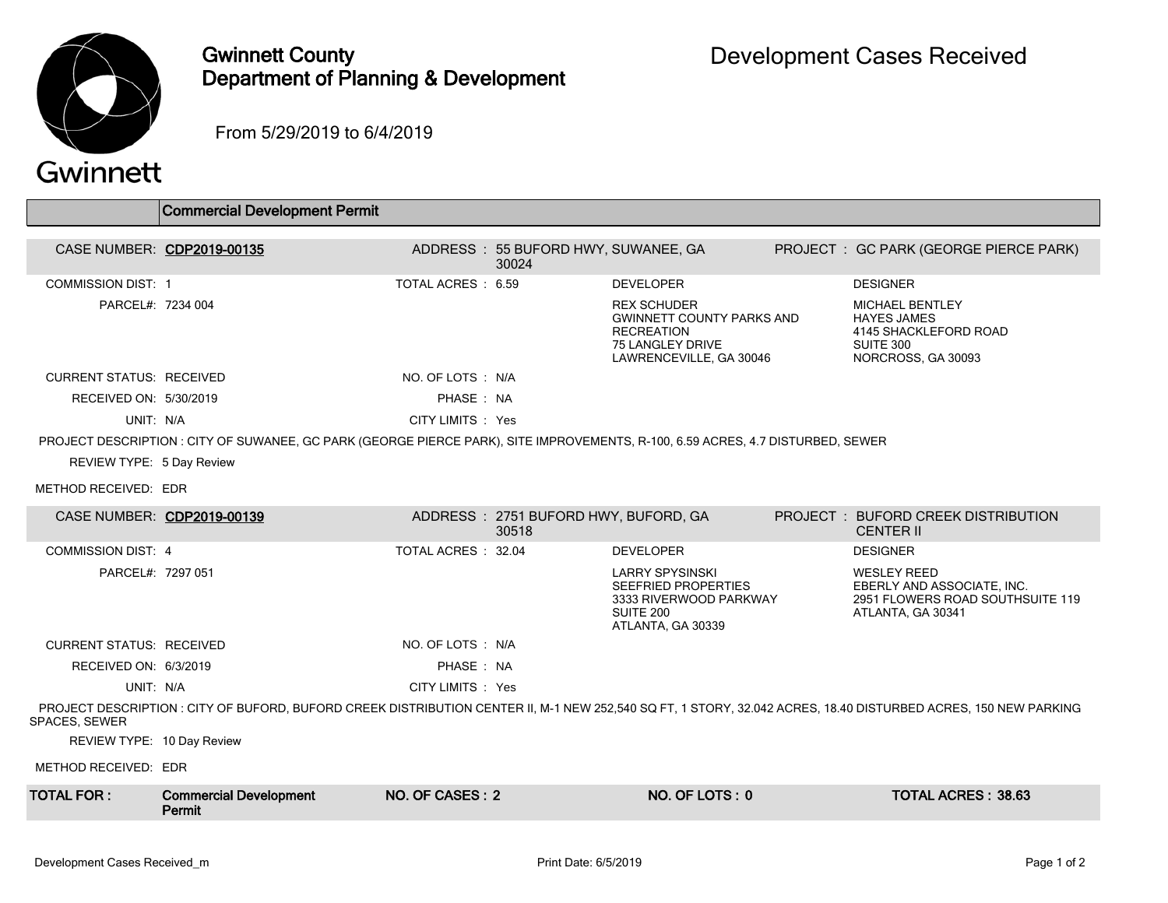

## Gwinnett County Department of Planning & Development

From 5/29/2019 to 6/4/2019

## Gwinnett

 $\overline{\phantom{a}}$ 

|                                                                                                                                                                                  | <b>Commercial Development Permit</b>                                                                                            |                    |                                               |                                                                                                                            |  |                                                                                                           |  |
|----------------------------------------------------------------------------------------------------------------------------------------------------------------------------------|---------------------------------------------------------------------------------------------------------------------------------|--------------------|-----------------------------------------------|----------------------------------------------------------------------------------------------------------------------------|--|-----------------------------------------------------------------------------------------------------------|--|
| CASE NUMBER: CDP2019-00135                                                                                                                                                       |                                                                                                                                 |                    | ADDRESS : 55 BUFORD HWY, SUWANEE, GA<br>30024 |                                                                                                                            |  | PROJECT : GC PARK (GEORGE PIERCE PARK)                                                                    |  |
| <b>COMMISSION DIST: 1</b>                                                                                                                                                        |                                                                                                                                 | TOTAL ACRES : 6.59 |                                               | <b>DEVELOPER</b>                                                                                                           |  | <b>DESIGNER</b>                                                                                           |  |
| PARCEL#: 7234 004                                                                                                                                                                |                                                                                                                                 |                    |                                               | <b>REX SCHUDER</b><br><b>GWINNETT COUNTY PARKS AND</b><br><b>RECREATION</b><br>75 LANGLEY DRIVE<br>LAWRENCEVILLE, GA 30046 |  | <b>MICHAEL BENTLEY</b><br><b>HAYES JAMES</b><br>4145 SHACKLEFORD ROAD<br>SUITE 300<br>NORCROSS, GA 30093  |  |
| <b>CURRENT STATUS: RECEIVED</b>                                                                                                                                                  |                                                                                                                                 | NO. OF LOTS : N/A  |                                               |                                                                                                                            |  |                                                                                                           |  |
| RECEIVED ON: 5/30/2019                                                                                                                                                           |                                                                                                                                 | PHASE: NA          |                                               |                                                                                                                            |  |                                                                                                           |  |
| UNIT: N/A                                                                                                                                                                        |                                                                                                                                 | CITY LIMITS : Yes  |                                               |                                                                                                                            |  |                                                                                                           |  |
|                                                                                                                                                                                  | PROJECT DESCRIPTION : CITY OF SUWANEE, GC PARK (GEORGE PIERCE PARK), SITE IMPROVEMENTS, R-100, 6.59 ACRES, 4.7 DISTURBED, SEWER |                    |                                               |                                                                                                                            |  |                                                                                                           |  |
| REVIEW TYPE: 5 Day Review                                                                                                                                                        |                                                                                                                                 |                    |                                               |                                                                                                                            |  |                                                                                                           |  |
| METHOD RECEIVED: EDR                                                                                                                                                             |                                                                                                                                 |                    |                                               |                                                                                                                            |  |                                                                                                           |  |
| CASE NUMBER: CDP2019-00139                                                                                                                                                       |                                                                                                                                 |                    | ADDRESS: 2751 BUFORD HWY, BUFORD, GA<br>30518 |                                                                                                                            |  | <b>PROJECT : BUFORD CREEK DISTRIBUTION</b><br><b>CENTER II</b>                                            |  |
| <b>COMMISSION DIST: 4</b>                                                                                                                                                        |                                                                                                                                 | TOTAL ACRES: 32.04 |                                               | <b>DEVELOPER</b>                                                                                                           |  | <b>DESIGNER</b>                                                                                           |  |
| PARCEL#: 7297 051                                                                                                                                                                |                                                                                                                                 |                    |                                               | <b>LARRY SPYSINSKI</b><br><b>SEEFRIED PROPERTIES</b><br>3333 RIVERWOOD PARKWAY<br>SUITE 200<br>ATLANTA, GA 30339           |  | <b>WESLEY REED</b><br>EBERLY AND ASSOCIATE, INC.<br>2951 FLOWERS ROAD SOUTHSUITE 119<br>ATLANTA, GA 30341 |  |
| <b>CURRENT STATUS: RECEIVED</b>                                                                                                                                                  |                                                                                                                                 | NO. OF LOTS : N/A  |                                               |                                                                                                                            |  |                                                                                                           |  |
| RECEIVED ON: 6/3/2019                                                                                                                                                            |                                                                                                                                 | PHASE: NA          |                                               |                                                                                                                            |  |                                                                                                           |  |
| UNIT: N/A                                                                                                                                                                        |                                                                                                                                 | CITY LIMITS : Yes  |                                               |                                                                                                                            |  |                                                                                                           |  |
| PROJECT DESCRIPTION : CITY OF BUFORD, BUFORD CREEK DISTRIBUTION CENTER II, M-1 NEW 252,540 SQ FT, 1 STORY, 32.042 ACRES, 18.40 DISTURBED ACRES, 150 NEW PARKING<br>SPACES, SEWER |                                                                                                                                 |                    |                                               |                                                                                                                            |  |                                                                                                           |  |
| REVIEW TYPE: 10 Day Review                                                                                                                                                       |                                                                                                                                 |                    |                                               |                                                                                                                            |  |                                                                                                           |  |
| METHOD RECEIVED: EDR                                                                                                                                                             |                                                                                                                                 |                    |                                               |                                                                                                                            |  |                                                                                                           |  |
| <b>TOTAL FOR :</b>                                                                                                                                                               | <b>Commercial Development</b><br>Permit                                                                                         | NO. OF CASES: 2    |                                               | NO. OF LOTS: 0                                                                                                             |  | <b>TOTAL ACRES: 38.63</b>                                                                                 |  |